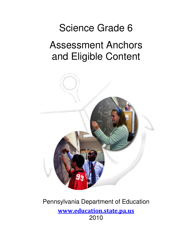# Science Grade 6

## Assessment Anchors and Eligible Content



## Pennsylvania Department of Education www.education.state.pa.us 2010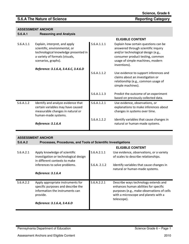### **S.6.A The Nature of Science <b>Reporting Category Reporting Category**

**Science, Grade 6**

#### **ASSESSMENT ANCHOR**

| S.6.A.1 | <b>Reasoning and Analysis</b> |
|---------|-------------------------------|
|---------|-------------------------------|

|           |                                                                                                                                                                 |             | <b>ELIGIBLE CONTENT</b>                                                                                                                                                                                   |
|-----------|-----------------------------------------------------------------------------------------------------------------------------------------------------------------|-------------|-----------------------------------------------------------------------------------------------------------------------------------------------------------------------------------------------------------|
| S.6.A.1.1 | Explain, interpret, and apply<br>scientific, environmental, or<br>technological knowledge presented in<br>a variety of formats (visuals,<br>scenarios, graphs). | S.6.A.1.1.1 | Explain how certain questions can be<br>answered through scientific inquiry<br>and/or technological design (e.g.,<br>consumer product testing, common<br>usage of simple machines, modern<br>inventions). |
|           | Reference: 3.1.6.A, 3.4.6.C, 3.4.6.D                                                                                                                            |             |                                                                                                                                                                                                           |
|           |                                                                                                                                                                 | S.6.A.1.1.2 | Use evidence to support inferences and<br>claims about an investigation or<br>relationship (e.g., common usage of<br>simple machines).                                                                    |
|           |                                                                                                                                                                 | S.6.A.1.1.3 | Predict the outcome of an experiment<br>based on previously collected data.                                                                                                                               |
| S.6.A.1.2 | Identify and analyze evidence that<br>certain variables may have caused<br>measurable changes in natural or<br>human-made systems.                              | S.6.A.1.2.1 | Use evidence, observations, or<br>explanations to make inferences about<br>changes in systems over time.                                                                                                  |
|           | Reference: 3.1.6.A                                                                                                                                              | S.6.A.1.2.2 | Identify variables that cause changes in<br>natural or human-made systems.                                                                                                                                |

| S.6.A.2   | Processes, Procedures, and Tools of Scientific Investigations                                                                                         |              |                                                                                                                                                                                    |
|-----------|-------------------------------------------------------------------------------------------------------------------------------------------------------|--------------|------------------------------------------------------------------------------------------------------------------------------------------------------------------------------------|
|           |                                                                                                                                                       |              | <b>ELIGIBLE CONTENT</b>                                                                                                                                                            |
| S.6.A.2.1 | Apply knowledge of scientific<br>investigation or technological design<br>in different contexts to make                                               | S.6.A.2.1.1  | Use evidence, observations, or a variety<br>of scales to describe relationships.                                                                                                   |
|           | inferences to solve problems.                                                                                                                         | S.6.A. 2.1.2 | Identify variables that cause changes in<br>natural or human-made systems.                                                                                                         |
|           | Reference: 3.1.6.A                                                                                                                                    |              |                                                                                                                                                                                    |
| S.6.A.2.2 | Apply appropriate instruments for<br>specific purposes and describe the<br>information the instruments can<br>provide.<br>Reference: 3.1.6.A, 3.4.6.D | S.6.A.2.2.1  | Describe ways technology extends and<br>enhances human abilities for specific<br>purposes (e.g., make observations of cells<br>with a microscope and planets with a<br>telescope). |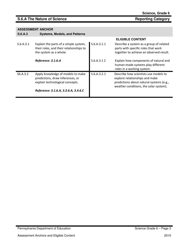| S.6.A.3   | <b>ASSESSMENT ANCHOR</b><br><b>Systems, Models, and Patterns</b>                                           |             |                                                                                                                                                               |
|-----------|------------------------------------------------------------------------------------------------------------|-------------|---------------------------------------------------------------------------------------------------------------------------------------------------------------|
|           |                                                                                                            |             | <b>ELIGIBLE CONTENT</b>                                                                                                                                       |
| S.6.A.3.1 | Explain the parts of a simple system,<br>their roles, and their relationships to<br>the system as a whole. | S.6.A.3.1.1 | Describe a system as a group of related<br>parts with specific roles that work<br>together to achieve an observed result.                                     |
|           | Reference: 3.1.6.A                                                                                         | S.6.A.3.12  | Explain how components of natural and<br>human-made systems play different<br>roles in a working system.                                                      |
| S6.A.3.2  | Apply knowledge of models to make<br>predictions, draw inferences, or<br>explain technological concepts.   | S.6.A.3.2.1 | Describe how scientists use models to<br>explore relationships and make<br>predictions about natural systems (e.g.,<br>weather conditions, the solar system). |
|           | Reference: 3.1.6.A, 3.3.6.A, 3.4.6.C                                                                       |             |                                                                                                                                                               |

**Science, Grade 6**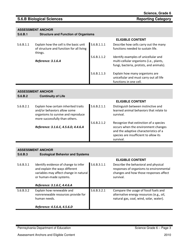### **S.6.B Biological Sciences Reporting Category Reporting Category**

#### **ASSESSMENT ANCHOR S.6.B.1 Structure and Function of Organisms**

|           |                                                                                               |             | <b>ELIGIBLE CONTENT</b>                                                                                                     |
|-----------|-----------------------------------------------------------------------------------------------|-------------|-----------------------------------------------------------------------------------------------------------------------------|
| S.6.B.1.1 | Explain how the cell is the basic unit<br>of structure and function for all living<br>things. | S.6.B.1.1.1 | Describe how cells carry out the many<br>functions needed to sustain life.                                                  |
|           | Reference: 3.1.6.A                                                                            | S.6.B.1.1.2 | Identify examples of unicellular and<br>multi-cellular organisms (i.e., plants,<br>fungi, bacteria, protists, and animals). |
|           |                                                                                               | S.6.B.1.1.3 | Explain how many organisms are<br>unicellular and must carry out all life<br>functions in one cell.                         |

### **ASSESSMENT ANCHOR**

| S.6.B.2 | <b>Continuity of Life</b> |
|---------|---------------------------|
|---------|---------------------------|

|           |                                                                                                                                             |             | <b>ELIGIBLE CONTENT</b>                                                                                                                                                      |
|-----------|---------------------------------------------------------------------------------------------------------------------------------------------|-------------|------------------------------------------------------------------------------------------------------------------------------------------------------------------------------|
| S.6.B.2.1 | Explain how certain inherited traits<br>and/or behaviors allow some<br>organisms to survive and reproduce<br>more successfully than others. | S.6.B.2.1.1 | Distinguish between instinctive and<br>learned animal behaviors that relate to<br>survival.                                                                                  |
|           | Reference: 3.1.6.C, 4.5.6.D, 4.4.6.A                                                                                                        | S.6.B.2.1.2 | Recognize that extinction of a species<br>occurs when the environment changes<br>and the adaptive characteristics of a<br>species are insufficient to allow its<br>survival. |

| S.6.B.3   | <b>Ecological Behavior and Systems</b>                                                                                                                                    |             |                                                                                                                                        |
|-----------|---------------------------------------------------------------------------------------------------------------------------------------------------------------------------|-------------|----------------------------------------------------------------------------------------------------------------------------------------|
|           |                                                                                                                                                                           |             | <b>ELIGIBLE CONTENT</b>                                                                                                                |
| S.6.B.3.1 | Identify evidence of change to infer<br>and explain the ways different<br>variables may affect change in natural<br>or human-made systems.<br>Reference: 3.1.6.C, 4.4.6.A | S.6.B.3.1.1 | Describe the behavioral and physical<br>responses of organisms to environmental<br>changes and how those responses affect<br>survival. |
| S.6.B.3.2 | Explain how renewable and<br>nonrenewable resources provide for<br>human needs.                                                                                           | S.6.B.3.2.1 | Compare the usage of fossil fuels and<br>alternative energy resources (e.g., oil,<br>natural gas, coal, wind, solar, water).           |
|           | Reference: 4.5.6.A, 4.5.6.D                                                                                                                                               |             |                                                                                                                                        |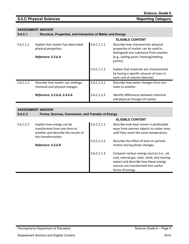### **S.6.C Physical Sciences Reporting Category Reporting Category**

#### **ASSESSMENT ANCHOR**

**S.6.C.1 Structure, Properties, and Interaction of Matter and Energy** 

|           |                                                                                  |             | <b>ELIGIBLE CONTENT</b>                                                                                                                                                     |
|-----------|----------------------------------------------------------------------------------|-------------|-----------------------------------------------------------------------------------------------------------------------------------------------------------------------------|
| S.6.C.1.1 | Explain that matter has observable<br>physical properties.<br>Reference: 3.2.6.A | S.6.C.1.1.1 | Describe how characteristic physical<br>properties of matter can be used to<br>distinguish one substance from another<br>(e.g., boiling point, freezing/melting<br>points). |
|           |                                                                                  | S.6.C.1.1.2 | Explain that materials are characterized<br>by having a specific amount of mass in<br>each unit of volume (density).                                                        |
| S.6.C.1.2 | Describe that matter can undergo<br>chemical and physical changes.               | S.6.C.1.2.1 | Describe how water changes from one<br>state to another.                                                                                                                    |
|           | Reference: 3.2.6.A, 3.3.6.A                                                      | S.6.C.1.2.2 | Identify differences between chemical<br>and physical changes of matter.                                                                                                    |

|           | AUULUUMLIII AIIUIIUII                                                                                                   |             |                                                                                                                                                                                             |
|-----------|-------------------------------------------------------------------------------------------------------------------------|-------------|---------------------------------------------------------------------------------------------------------------------------------------------------------------------------------------------|
| S.6.C.2   | Forms, Sources, Conversion, and Transfer of Energy                                                                      |             |                                                                                                                                                                                             |
|           |                                                                                                                         |             | <b>ELIGIBLE CONTENT</b>                                                                                                                                                                     |
| S.6.C.2.1 | Explain how energy can be<br>transformed from one form to<br>another and describe the results of<br>the transformation. | S.6.C.2.1.1 | Describe how heat moves in predictable<br>ways from warmer objects to cooler ones<br>until they reach the same temperature.                                                                 |
|           | Reference: 3.2.6.B                                                                                                      | S.6.C.2.1.2 | Describe the effect of heat on particle<br>motion during phase changes.                                                                                                                     |
|           |                                                                                                                         | S.6.C.2.1.3 | Compare various energy sources (i.e., oil,<br>coal, natural gas, solar, wind, and moving<br>water) and describe how these energy<br>sources are transformed into useful<br>forms of energy. |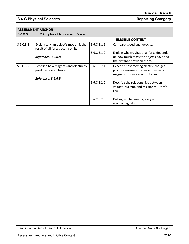### **S.6.C Physical Sciences Reporting Category Reporting Category**

|           |                                                                             |             | <b>ELIGIBLE CONTENT</b>                                                                                        |
|-----------|-----------------------------------------------------------------------------|-------------|----------------------------------------------------------------------------------------------------------------|
| S.6.C.3.1 | Explain why an object's motion is the<br>result of all forces acting on it. | S.6.C.3.1.1 | Compare speed and velocity.                                                                                    |
|           | Reference: 3.2.6.B                                                          | S.6.C.3.1.2 | Explain why gravitational force depends<br>on how much mass the objects have and<br>the distance between them. |
| S.6.C.3.2 | Describe how magnets and electricity<br>produce related forces.             | S.6.C.3.2.1 | Describe how moving electric charges<br>produce magnetic forces and moving<br>magnets produce electric forces. |
|           | Reference: 3.2.6.B                                                          | S.6.C.3.2.2 | Describe the relationships between<br>voltage, current, and resistance (Ohm's<br>Law).                         |
|           |                                                                             | S.6.C.3.2.3 | Distinguish between gravity and<br>electromagnetism.                                                           |

| Science, Grade 6 |
|------------------|
|------------------|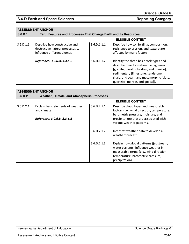| S.6.D.1   | Earth Features and Processes That Change Earth and Its Resources                                  |             |                                                                                                                                                                                                                                                       |  |  |
|-----------|---------------------------------------------------------------------------------------------------|-------------|-------------------------------------------------------------------------------------------------------------------------------------------------------------------------------------------------------------------------------------------------------|--|--|
|           |                                                                                                   |             | <b>ELIGIBLE CONTENT</b>                                                                                                                                                                                                                               |  |  |
| S.6.D.1.1 | Describe how constructive and<br>destructive natural processes can<br>influence different biomes. | S.6.D.1.1.1 | Describe how soil fertility, composition,<br>resistance to erosion, and texture are<br>affected by many factors.                                                                                                                                      |  |  |
|           | Reference: 3.3.6.A, 4.4.6.B                                                                       | S.6.D.1.1.2 | Identify the three basic rock types and<br>describe their formation (i.e., igneous<br>[granite, basalt, obsidian, and pumice];<br>sedimentary [limestone, sandstone,<br>shale, and coal]; and metamorphic [slate,<br>quartzite, marble, and gneiss]). |  |  |

| <b>ASSESSMENT ANCHOR</b> |                                                    |             |                                                                                                                                                                                     |  |  |  |
|--------------------------|----------------------------------------------------|-------------|-------------------------------------------------------------------------------------------------------------------------------------------------------------------------------------|--|--|--|
| S.6.D.2                  | <b>Weather, Climate, and Atmospheric Processes</b> |             |                                                                                                                                                                                     |  |  |  |
|                          |                                                    |             | <b>ELIGIBLE CONTENT</b>                                                                                                                                                             |  |  |  |
| S.6.D.2.1                | Explain basic elements of weather<br>and climate.  | S.6.D.2.1.1 | Describe cloud types and measurable<br>factors (i.e., wind direction, temperature,<br>barometric pressure, moisture, and                                                            |  |  |  |
|                          | Reference: 3.2.6.B, 3.3.6.B                        |             | precipitation) that are associated with<br>various weather patterns.                                                                                                                |  |  |  |
|                          |                                                    | S.6.D.2.1.2 | Interpret weather data to develop a<br>weather forecast.                                                                                                                            |  |  |  |
|                          |                                                    | S.6.D.2.1.3 | Explain how global patterns (jet stream,<br>water currents) influence weather in<br>measurable terms (e.g., wind direction,<br>temperature, barometric pressure,<br>precipitation). |  |  |  |